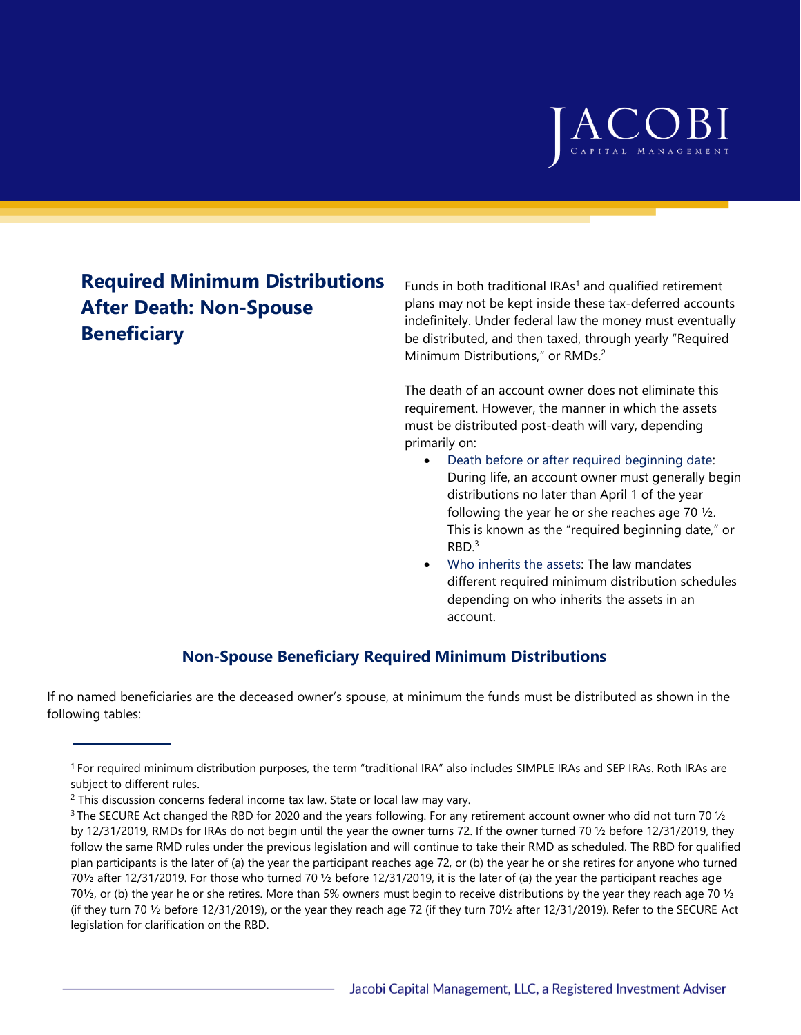

# **Required Minimum Distributions After Death: Non-Spouse Beneficiary**

Funds in both traditional IRAs<sup>1</sup> and qualified retirement plans may not be kept inside these tax-deferred accounts indefinitely. Under federal law the money must eventually be distributed, and then taxed, through yearly "Required Minimum Distributions," or RMDs.<sup>2</sup>

The death of an account owner does not eliminate this requirement. However, the manner in which the assets must be distributed post-death will vary, depending primarily on:

- Death before or after required beginning date: During life, an account owner must generally begin distributions no later than April 1 of the year following the year he or she reaches age 70 ½. This is known as the "required beginning date," or RBD.<sup>3</sup>
- Who inherits the assets: The law mandates different required minimum distribution schedules depending on who inherits the assets in an account.

## **Non-Spouse Beneficiary Required Minimum Distributions**

If no named beneficiaries are the deceased owner's spouse, at minimum the funds must be distributed as shown in the following tables:

<sup>1</sup>For required minimum distribution purposes, the term "traditional IRA" also includes SIMPLE IRAs and SEP IRAs. Roth IRAs are subject to different rules.

<sup>&</sup>lt;sup>2</sup> This discussion concerns federal income tax law. State or local law may vary.

 $3$  The SECURE Act changed the RBD for 2020 and the years following. For any retirement account owner who did not turn 70  $\frac{1}{2}$ by 12/31/2019, RMDs for IRAs do not begin until the year the owner turns 72. If the owner turned 70 ½ before 12/31/2019, they follow the same RMD rules under the previous legislation and will continue to take their RMD as scheduled. The RBD for qualified plan participants is the later of (a) the year the participant reaches age 72, or (b) the year he or she retires for anyone who turned 70½ after 12/31/2019. For those who turned 70 ½ before 12/31/2019, it is the later of (a) the year the participant reaches age 70½, or (b) the year he or she retires. More than 5% owners must begin to receive distributions by the year they reach age 70 ½ (if they turn 70 ½ before 12/31/2019), or the year they reach age 72 (if they turn 70½ after 12/31/2019). Refer to the SECURE Act legislation for clarification on the RBD.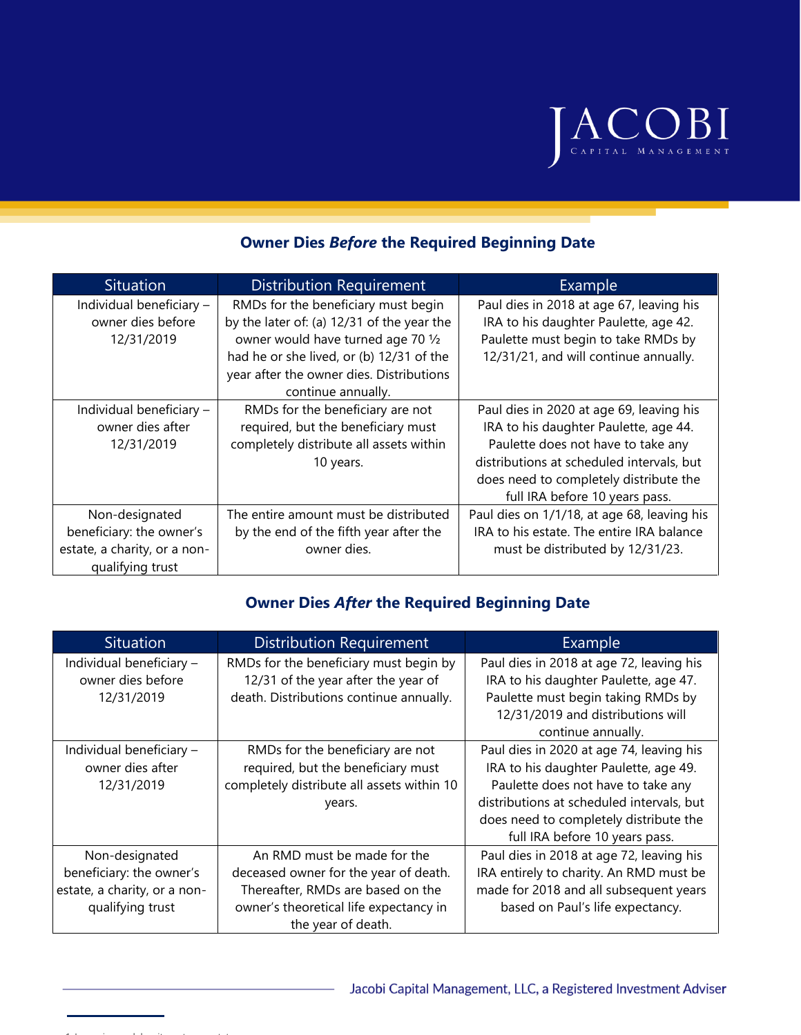

## **Owner Dies** *Before* **the Required Beginning Date**

| <b>Situation</b>             | <b>Distribution Requirement</b>            | Example                                     |
|------------------------------|--------------------------------------------|---------------------------------------------|
| Individual beneficiary -     | RMDs for the beneficiary must begin        | Paul dies in 2018 at age 67, leaving his    |
| owner dies before            | by the later of: (a) 12/31 of the year the | IRA to his daughter Paulette, age 42.       |
| 12/31/2019                   | owner would have turned age 70 1/2         | Paulette must begin to take RMDs by         |
|                              | had he or she lived, or (b) 12/31 of the   | 12/31/21, and will continue annually.       |
|                              | year after the owner dies. Distributions   |                                             |
|                              | continue annually.                         |                                             |
| Individual beneficiary -     | RMDs for the beneficiary are not           | Paul dies in 2020 at age 69, leaving his    |
| owner dies after             | required, but the beneficiary must         | IRA to his daughter Paulette, age 44.       |
| 12/31/2019                   | completely distribute all assets within    | Paulette does not have to take any          |
|                              | 10 years.                                  | distributions at scheduled intervals, but   |
|                              |                                            | does need to completely distribute the      |
|                              |                                            | full IRA before 10 years pass.              |
| Non-designated               | The entire amount must be distributed      | Paul dies on 1/1/18, at age 68, leaving his |
| beneficiary: the owner's     | by the end of the fifth year after the     | IRA to his estate. The entire IRA balance   |
| estate, a charity, or a non- | owner dies.                                | must be distributed by 12/31/23.            |
| qualifying trust             |                                            |                                             |

### **Owner Dies** *After* **the Required Beginning Date**

| <b>Situation</b>             | <b>Distribution Requirement</b>            | Example                                   |
|------------------------------|--------------------------------------------|-------------------------------------------|
| Individual beneficiary -     | RMDs for the beneficiary must begin by     | Paul dies in 2018 at age 72, leaving his  |
| owner dies before            | 12/31 of the year after the year of        | IRA to his daughter Paulette, age 47.     |
| 12/31/2019                   | death. Distributions continue annually.    | Paulette must begin taking RMDs by        |
|                              |                                            | 12/31/2019 and distributions will         |
|                              |                                            | continue annually.                        |
| Individual beneficiary -     | RMDs for the beneficiary are not           | Paul dies in 2020 at age 74, leaving his  |
| owner dies after             | required, but the beneficiary must         | IRA to his daughter Paulette, age 49.     |
| 12/31/2019                   | completely distribute all assets within 10 | Paulette does not have to take any        |
|                              | years.                                     | distributions at scheduled intervals, but |
|                              |                                            | does need to completely distribute the    |
|                              |                                            | full IRA before 10 years pass.            |
| Non-designated               | An RMD must be made for the                | Paul dies in 2018 at age 72, leaving his  |
| beneficiary: the owner's     | deceased owner for the year of death.      | IRA entirely to charity. An RMD must be   |
| estate, a charity, or a non- | Thereafter, RMDs are based on the          | made for 2018 and all subsequent years    |
| qualifying trust             | owner's theoretical life expectancy in     | based on Paul's life expectancy.          |
|                              | the year of death.                         |                                           |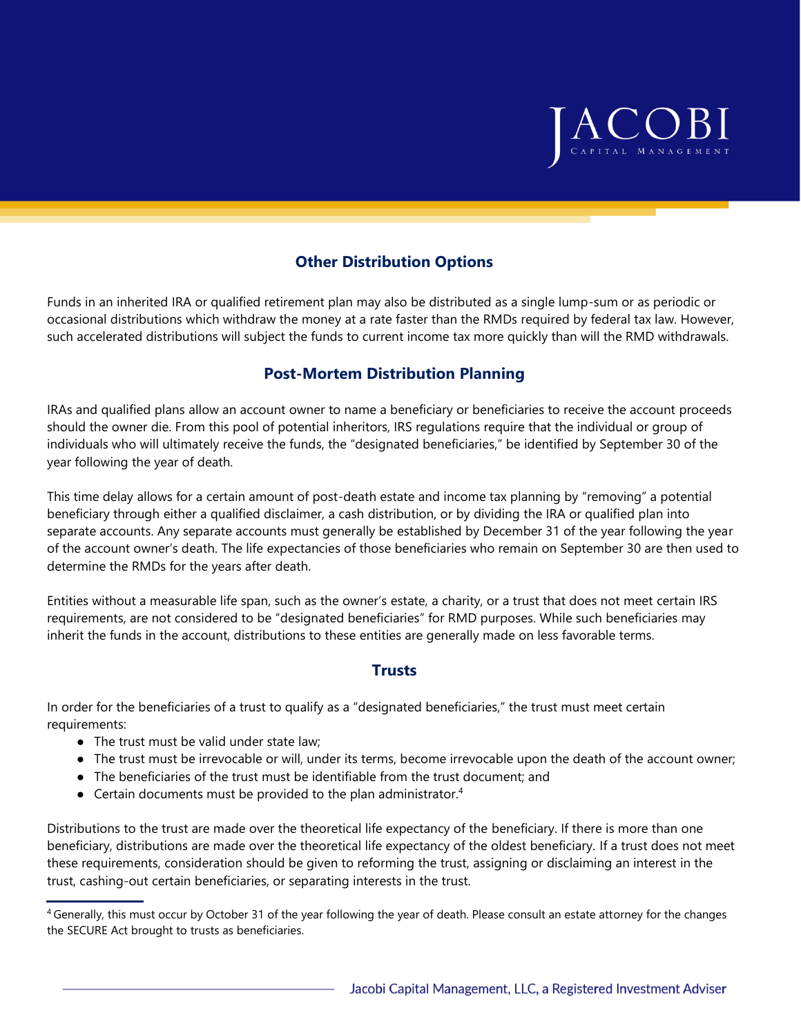

#### **Other Distribution Options**

Funds in an inherited IRA or qualified retirement plan may also be distributed as a single lump-sum or as periodic or occasional distributions which withdraw the money at a rate faster than the RMDs required by federal tax law. However, such accelerated distributions will subject the funds to current income tax more quickly than will the RMD withdrawals.

#### **Post-Mortem Distribution Planning**

IRAs and qualified plans allow an account owner to name a beneficiary or beneficiaries to receive the account proceeds should the owner die. From this pool of potential inheritors, IRS regulations require that the individual or group of individuals who will ultimately receive the funds, the "designated beneficiaries," be identified by September 30 of the year following the year of death.

This time delay allows for a certain amount of post-death estate and income tax planning by "removing" a potential beneficiary through either a qualified disclaimer, a cash distribution, or by dividing the IRA or qualified plan into separate accounts. Any separate accounts must generally be established by December 31 of the year following the year of the account owner's death. The life expectancies of those beneficiaries who remain on September 30 are then used to determine the RMDs for the years after death.

Entities without a measurable life span, such as the owner's estate, a charity, or a trust that does not meet certain IRS requirements, are not considered to be "designated beneficiaries" for RMD purposes. While such beneficiaries may inherit the funds in the account, distributions to these entities are generally made on less favorable terms.

#### **Trusts**

In order for the beneficiaries of a trust to qualify as a "designated beneficiaries," the trust must meet certain requirements:

- The trust must be valid under state law;
- The trust must be irrevocable or will, under its terms, become irrevocable upon the death of the account owner;
- The beneficiaries of the trust must be identifiable from the trust document; and
- **•** Certain documents must be provided to the plan administrator.<sup>4</sup>

Distributions to the trust are made over the theoretical life expectancy of the beneficiary. If there is more than one beneficiary, distributions are made over the theoretical life expectancy of the oldest beneficiary. If a trust does not meet these requirements, consideration should be given to reforming the trust, assigning or disclaiming an interest in the trust, cashing-out certain beneficiaries, or separating interests in the trust.

<sup>4</sup> Generally, this must occur by October 31 of the year following the year of death. Please consult an estate attorney for the changes the SECURE Act brought to trusts as beneficiaries.